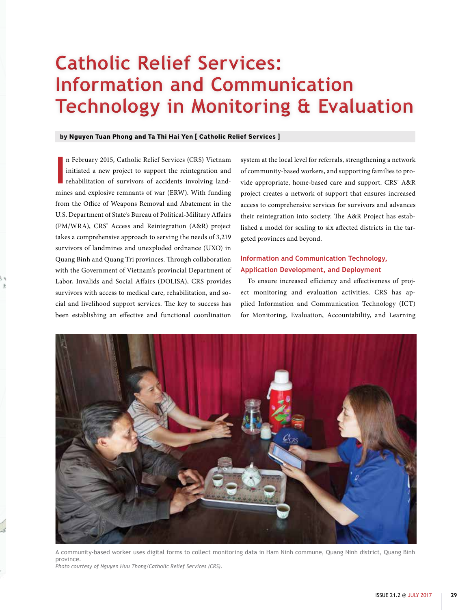# **Catholic Relief Services: Information and Communication Technology in Monitoring & Evaluation**

#### **by Nguyen Tuan Phong and Ta Thi Hai Yen [ Catholic Relief Services ]**

**I** n February 2015, Catholic Relief Services (CRS) Vietnam initiated a new project to support the reintegration and rehabilitation of survivors of accidents involving landmines and explosive remnants of war (ERW). With funding from the Office of Weapons Removal and Abatement in the U.S. Department of State's Bureau of Political-Military Affairs (PM/WRA), CRS' Access and Reintegration (A&R) project takes a comprehensive approach to serving the needs of 3,219 survivors of landmines and unexploded ordnance (UXO) in Quang Binh and Quang Tri provinces. Through collaboration with the Government of Vietnam's provincial Department of Labor, Invalids and Social Affairs (DOLISA), CRS provides survivors with access to medical care, rehabilitation, and social and livelihood support services. The key to success has been establishing an effective and functional coordination

system at the local level for referrals, strengthening a network of community-based workers, and supporting families to provide appropriate, home-based care and support. CRS' A&R project creates a network of support that ensures increased access to comprehensive services for survivors and advances their reintegration into society. The A&R Project has established a model for scaling to six affected districts in the targeted provinces and beyond.

## **Information and Communication Technology, Application Development, and Deployment**

To ensure increased efficiency and effectiveness of project monitoring and evaluation activities, CRS has applied Information and Communication Technology (ICT) for Monitoring, Evaluation, Accountability, and Learning



A community-based worker uses digital forms to collect monitoring data in Ham Ninh commune, Quang Ninh district, Quang Binh province.

*Photo courtesy of Nguyen Huu Thong/Catholic Relief Services (CRS).*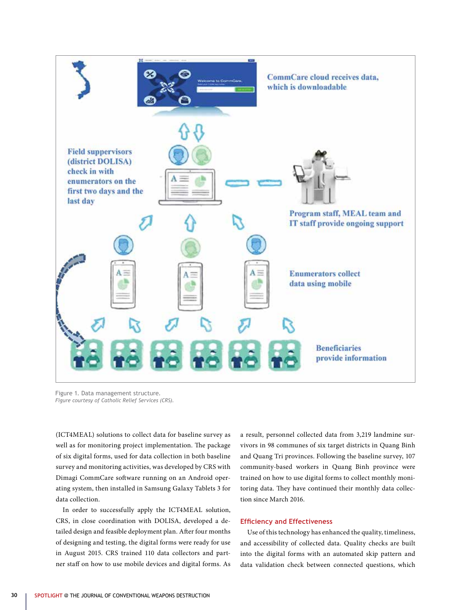

Figure 1. Data management structure. *Figure courtesy of Catholic Relief Services (CRS).*

(ICT4MEAL) solutions to collect data for baseline survey as well as for monitoring project implementation. The package of six digital forms, used for data collection in both baseline survey and monitoring activities, was developed by CRS with Dimagi CommCare software running on an Android operating system, then installed in Samsung Galaxy Tablets 3 for data collection.

In order to successfully apply the ICT4MEAL solution, CRS, in close coordination with DOLISA, developed a detailed design and feasible deployment plan. After four months of designing and testing, the digital forms were ready for use in August 2015. CRS trained 110 data collectors and partner staff on how to use mobile devices and digital forms. As a result, personnel collected data from 3,219 landmine survivors in 98 communes of six target districts in Quang Binh and Quang Tri provinces. Following the baseline survey, 107 community-based workers in Quang Binh province were trained on how to use digital forms to collect monthly monitoring data. They have continued their monthly data collection since March 2016.

#### **Efficiency and Effectiveness**

Use of this technology has enhanced the quality, timeliness, and accessibility of collected data. Quality checks are built into the digital forms with an automated skip pattern and data validation check between connected questions, which